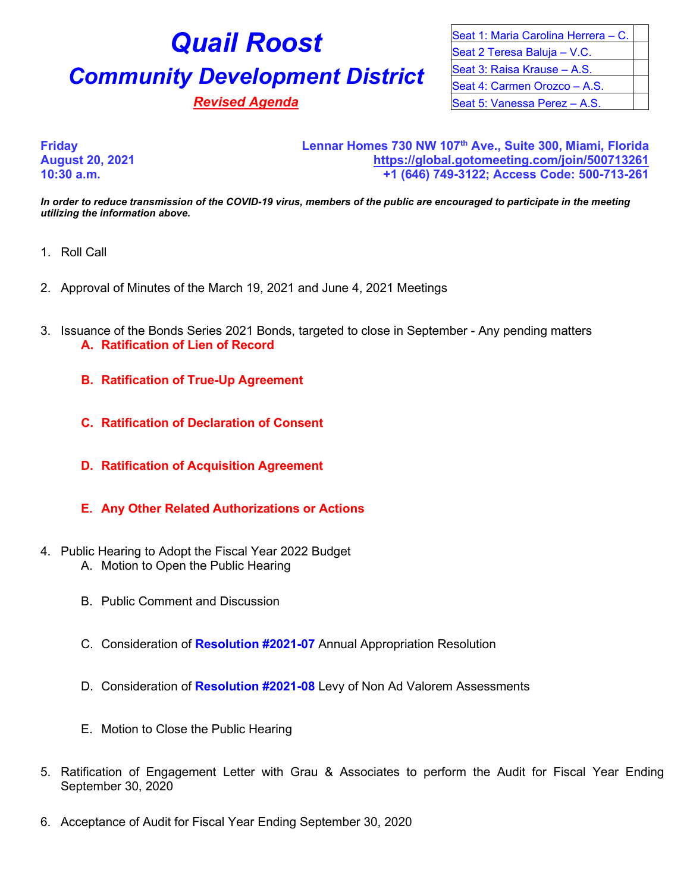# **Quail Roost Community Development District**

**Revised Agenda** 

| Seat 1: Maria Carolina Herrera - C. |  |
|-------------------------------------|--|
| Seat 2 Teresa Baluja - V.C.         |  |
| Seat 3: Raisa Krause - A.S.         |  |
| Seat 4: Carmen Orozco - A.S.        |  |
| Seat 5: Vanessa Perez - A.S.        |  |

**Friday Lennar Homes 730 NW 107th Ave., Suite 300, Miami, Florida August 20, 2021 <https://global.gotomeeting.com/join/500713261> 10:30 a.m. +1 (646) 749-3122; Access Code: 500-713-261**

*In order to reduce transmission of the COVID-19 virus, members of the public are encouraged to participate in the meeting utilizing the information above.*

- 1. Roll Call
- 2. Approval of Minutes of the March 19, 2021 and June 4, 2021 Meetings
- 3. Issuance of the Bonds Series 2021 Bonds, targeted to close in September Any pending matters **A. Ratification of Lien of Record** 
	- **B. Ratification of True-Up Agreement**
	- **C. Ratification of Declaration of Consent**
	- **D. Ratification of Acquisition Agreement**
	- **E. Any Other Related Authorizations or Actions**
- 4. Public Hearing to Adopt the Fiscal Year 2022 Budget
	- A. Motion to Open the Public Hearing
	- B. Public Comment and Discussion
	- C. Consideration of **Resolution #2021-07** Annual Appropriation Resolution
	- D. Consideration of **Resolution #2021-08** Levy of Non Ad Valorem Assessments
	- E. Motion to Close the Public Hearing
- 5. Ratification of Engagement Letter with Grau & Associates to perform the Audit for Fiscal Year Ending September 30, 2020
- 6. Acceptance of Audit for Fiscal Year Ending September 30, 2020